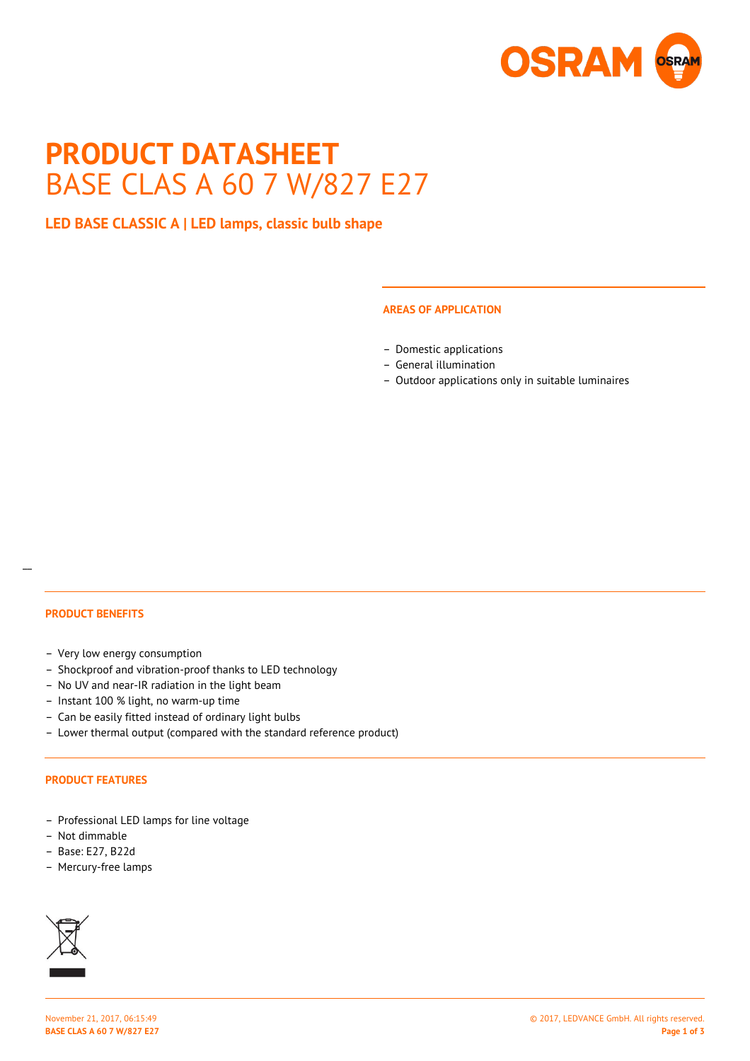

# **PRODUCT DATASHEET** BASE CLAS A 60 7 W/827 E27

# **LED BASE CLASSIC A | LED lamps, classic bulb shape**

#### **AREAS OF APPLICATION**

- Domestic applications
- General illumination
- Outdoor applications only in suitable luminaires

# **PRODUCT BENEFITS**

 $\overline{a}$ 

- Very low energy consumption
- Shockproof and vibration-proof thanks to LED technology
- No UV and near-IR radiation in the light beam
- Instant 100 % light, no warm-up time
- Can be easily fitted instead of ordinary light bulbs
- Lower thermal output (compared with the standard reference product)

#### **PRODUCT FEATURES**

- Professional LED lamps for line voltage
- Not dimmable
- Base: E27, B22d
- Mercury-free lamps

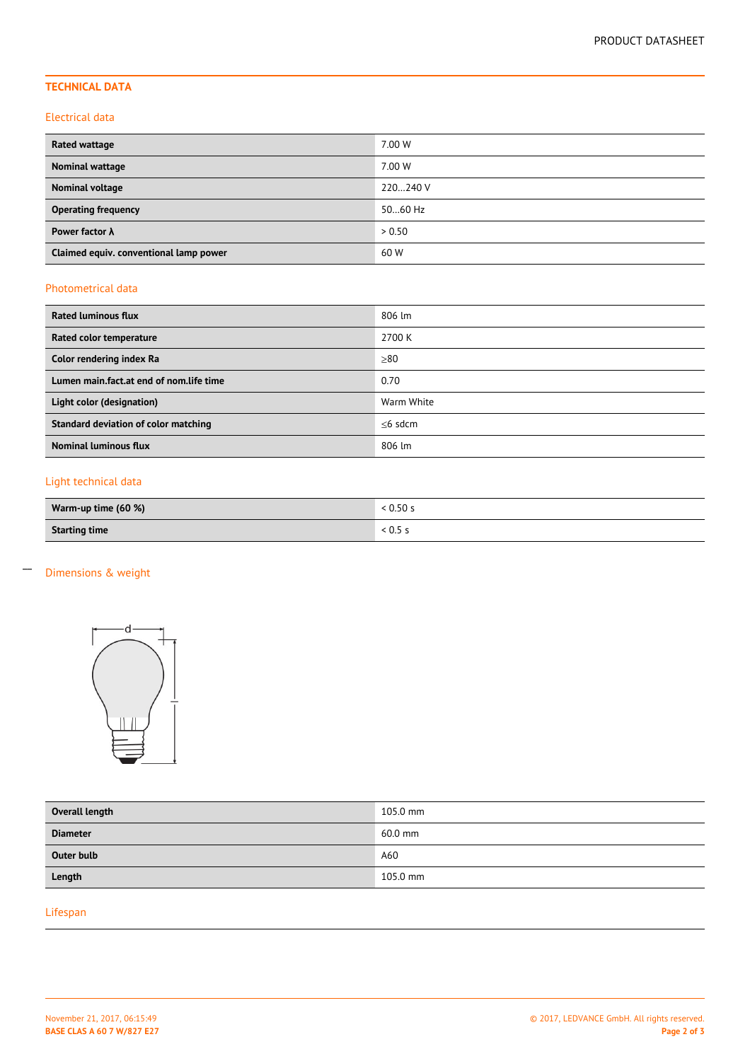# **TECHNICAL DATA**

#### Electrical data

| Rated wattage                          | 7.00 W   |
|----------------------------------------|----------|
| <b>Nominal wattage</b>                 | 7.00 W   |
| Nominal voltage                        | 220240 V |
| <b>Operating frequency</b>             | 5060 Hz  |
| Power factor $\lambda$                 | > 0.50   |
| Claimed equiv. conventional lamp power | 60 W     |

## Photometrical data

| <b>Rated luminous flux</b>              | 806 lm     |
|-----------------------------------------|------------|
| Rated color temperature                 | 2700 K     |
| Color rendering index Ra                | > 80       |
| Lumen main.fact.at end of nom.life time | 0.70       |
| Light color (designation)               | Warm White |
| Standard deviation of color matching    | $<$ 6 sdcm |
| <b>Nominal luminous flux</b>            | 806 lm     |

# Light technical data

| Warm-up time (60 %)  | < 0.50 s           |  |
|----------------------|--------------------|--|
| <b>Starting time</b> | $^{\circ}$ < 0.5 . |  |

# Dimensions & weight

 $\overline{a}$ 



| Overall length  | 105.0 mm |
|-----------------|----------|
| <b>Diameter</b> | 60.0 mm  |
| Outer bulb      | A60      |
| Length          | 105.0 mm |

# Lifespan